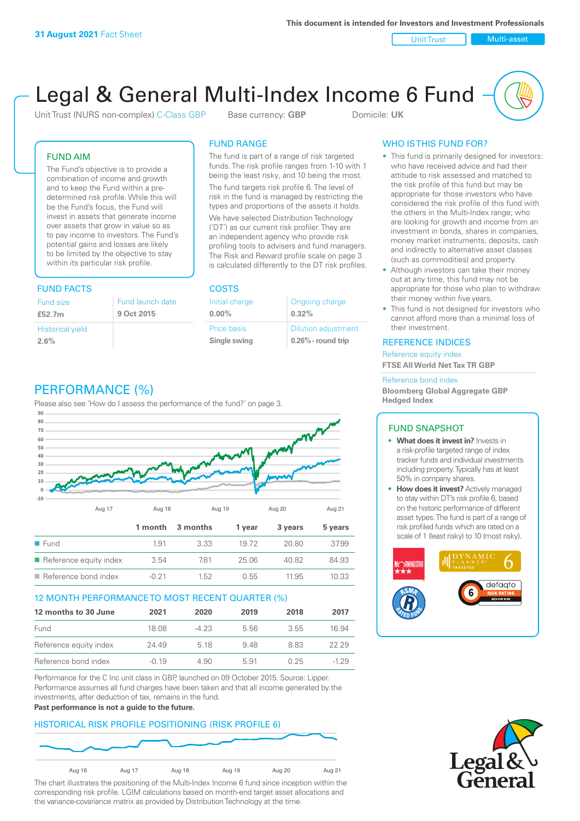Unit Trust Nulti-asset

# Legal & General Multi-Index Income 6 Fund

Unit Trust (NURS non-complex) C-Class GBP Base currency: **GBP** Domicile: UK

### FUND AIM

The Fund's objective is to provide a combination of income and growth and to keep the Fund within a predetermined risk profile. While this will be the Fund's focus, the Fund will invest in assets that generate income over assets that grow in value so as to pay income to investors. The Fund's potential gains and losses are likely to be limited by the objective to stay within its particular risk profile.

### FUND FACTS COSTS

| Fund size<br>£52.7m     | Fund launch date<br>9 Oct 2015 |
|-------------------------|--------------------------------|
| <b>Historical yield</b> |                                |
| 2.6%                    |                                |

### FUND RANGE

The fund is part of a range of risk targeted funds. The risk profile ranges from 1-10 with 1 being the least risky, and 10 being the most.

The fund targets risk profile 6. The level of risk in the fund is managed by restricting the types and proportions of the assets it holds. We have selected Distribution Technology ('DT') as our current risk profiler. They are an independent agency who provide risk profiling tools to advisers and fund managers. The Risk and Reward profile scale on page 3 is calculated differently to the DT risk profiles.

**0.00%**

| Initial charge | Ongoing charge             |
|----------------|----------------------------|
| $0.00\%$       | 0.32%                      |
| Price basis    | <b>Dilution adjustment</b> |
| Single swing   | $0.26\%$ - round trip      |

### PERFORMANCE (%)

Please also see 'How do I assess the performance of the fund?' on page 3.



### 12 MONTH PERFORMANCE TO MOST RECENT QUARTER (%)

| 12 months to 30 June   | 2021    | 2020   | 2019 | 2018 | 2017   |
|------------------------|---------|--------|------|------|--------|
| Fund                   | 18.08   | $-423$ | 556  | 3.55 | 16.94  |
| Reference equity index | 24.49   | 5 18   | 948  | 8 83 | 22.29  |
| Reference bond index   | $-0.19$ | 4.90   | 5.91 | 0.25 | $-129$ |

Performance for the C Inc unit class in GBP, launched on 09 October 2015. Source: Lipper. Performance assumes all fund charges have been taken and that all income generated by the investments, after deduction of tax, remains in the fund.

#### **Past performance is not a guide to the future.**

### HISTORICAL RISK PROFILE POSITIONING (RISK PROFILE 6)



The chart illustrates the positioning of the Multi-Index Income 6 fund since inception within the corresponding risk profile. LGIM calculations based on month-end target asset allocations and the variance-covariance matrix as provided by Distribution Technology at the time.

### WHO IS THIS FUND FOR?

- This fund is primarily designed for investors: who have received advice and had their attitude to risk assessed and matched to the risk profile of this fund but may be appropriate for those investors who have considered the risk profile of this fund with the others in the Multi-Index range; who are looking for growth and income from an investment in bonds, shares in companies, money market instruments, deposits, cash and indirectly to alternative asset classes (such as commodities) and property.
- Although investors can take their money out at any time, this fund may not be appropriate for those who plan to withdraw their money within five years.
- This fund is not designed for investors who cannot afford more than a minimal loss of their investment.

### REFERENCE INDICES

Reference equity index **FTSE All World Net Tax TR GBP**

#### Reference bond index

**Bloomberg Global Aggregate GBP Hedged Index**

### FUND SNAPSHOT

- **• What does it invest in?** Invests in a risk-profile targeted range of index tracker funds and individual investments including property. Typically has at least 50% in company shares.
- **• How does it invest?** Actively managed to stay within DT's risk profile 6, based on the historic performance of different asset types. The fund is part of a range of risk profiled funds which are rated on a scale of 1 (least risky) to 10 (most risky).



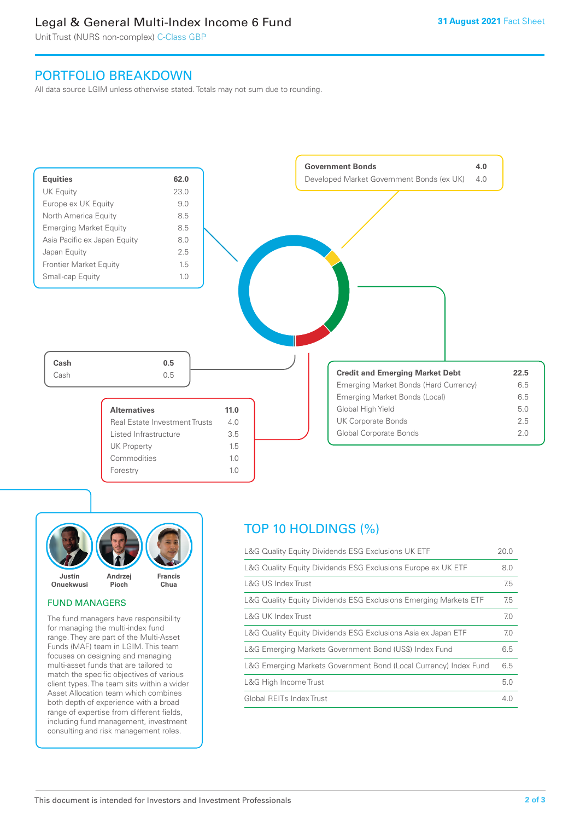### Legal & General Multi-Index Income 6 Fund

Unit Trust (NURS non-complex) C-Class GBP

### PORTFOLIO BREAKDOWN

All data source LGIM unless otherwise stated. Totals may not sum due to rounding.





### FUND MANAGERS

The fund managers have responsibility for managing the multi-index fund range. They are part of the Multi-Asset Funds (MAF) team in LGIM. This team focuses on designing and managing multi-asset funds that are tailored to match the specific objectives of various client types. The team sits within a wider Asset Allocation team which combines both depth of experience with a broad range of expertise from different fields, including fund management, investment consulting and risk management roles.

## TOP 10 HOLDINGS (%)

| L&G Quality Equity Dividends ESG Exclusions UK ETF               | 20.0 |
|------------------------------------------------------------------|------|
| L&G Quality Equity Dividends ESG Exclusions Europe ex UK ETF     | 8.0  |
| L&G US Index Trust                                               | 7.5  |
| L&G Quality Equity Dividends ESG Exclusions Emerging Markets ETF | 7.5  |
| L&G UK Index Trust                                               | 7.0  |
| L&G Quality Equity Dividends ESG Exclusions Asia ex Japan ETF    | 7.0  |
| L&G Emerging Markets Government Bond (US\$) Index Fund           | 6.5  |
| L&G Emerging Markets Government Bond (Local Currency) Index Fund | 6.5  |
| L&G High Income Trust                                            | 5.0  |
| Global REITs Index Trust                                         | 4.0  |